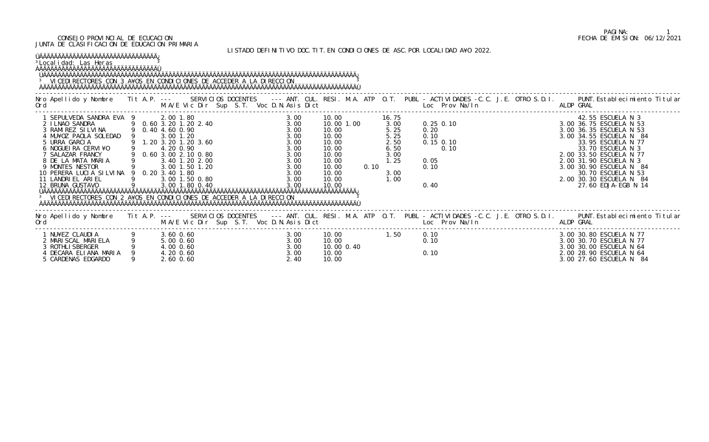LISTADO DEFINITIVO DOC.TIT.EN CONDICIONES DE ASC.POR LOCALIDAD A¥O 2022.

| <sup>3</sup> Local i dad: Las Heras<br><b>OAAAAAAAAAAAAAAAAAAAAAAAAAAAAAAAA</b><br><sup>3</sup> VICEDI RECTORES CON 3 A¥OS EN CONDICIONES DE ACCEDER A LA DIRECCION                                                                                                                                                          |   |               |                                                          |            |                                                                                                      |      |                                                                                           |                                                     |  |                                                                                                                                                                                                                                                                                                                |
|------------------------------------------------------------------------------------------------------------------------------------------------------------------------------------------------------------------------------------------------------------------------------------------------------------------------------|---|---------------|----------------------------------------------------------|------------|------------------------------------------------------------------------------------------------------|------|-------------------------------------------------------------------------------------------|-----------------------------------------------------|--|----------------------------------------------------------------------------------------------------------------------------------------------------------------------------------------------------------------------------------------------------------------------------------------------------------------|
|                                                                                                                                                                                                                                                                                                                              |   |               |                                                          |            |                                                                                                      |      |                                                                                           |                                                     |  | Nro Apellido y Nombre Tit A.P. --- SERVICIOS DOCENTES --- ANT. CUL. RESI. M.A. ATP O.T. PUBL -ACTIVIDADES -C.C. J.E. OTRO S.D.I. PUNT.Establecimiento Titular<br>Ord M.A/E Vic Dir Sup S.T. Voc D.N.Asis Dict Loc Prov Na/In ALDP                                                                              |
| 1 SEPULVEDA SANDRA EVA 9 0.60 3.00 1.80 0.90<br>3 RAMI REZ SILVINA 9 0.40 4.60 0.90<br>3 RAMI REZ SILVINA 9 0.40 4.60 0.90<br>4 MU¥OZ PAOLA SOLEDAD 9 3.00 1.20<br>5 URRA GARCIA 9 1.20 3.20 1.20 3.60<br>5 URRA GARCIA 9 1.20 3.20 1.20<br><sup>3</sup> VICEDI RECTORES CON 2 A¥OS EN CONDICIONES DE ACCEDER A LA DIRECCION |   |               |                                                          | 3.00 10.00 | 10.00 1.00<br>10.00<br>10.00<br>10.00<br>10.00<br>10.00<br>10.00<br>10.00<br>10.00<br>10.00<br>10.00 | 0.10 | 16.75<br>3.00<br>5.25<br>5. 25<br>5. 25<br>2. 50<br>6. 50<br>3.00<br>1.25<br>3.00<br>1.00 |                                                     |  | 42.55 ESCUELA N 3<br>0. 25 0. 10<br>0. 20<br>0. 10<br>0. 10<br>0. 10<br>0. 10<br>0. 10<br>0. 10<br>0. 10<br>0. 10<br>0. 10<br>0. 10<br>0. 10<br>0. 10<br>0. 10<br>0. 10<br>0. 10<br>0. 10<br>0. 10<br>0. 10<br>0. 10<br>0. 10<br>0. 10<br>0. 10<br>0. 10<br>0. 10<br>0. 10<br>0. 10<br>0. 10<br>0. 10<br>0. 10 |
| M.A/E Vic Dir Sup S.T. Voc D.N.Asis Dict Loc Prov Na/In ALDP GRAL<br>Ord                                                                                                                                                                                                                                                     |   |               |                                                          |            |                                                                                                      |      |                                                                                           |                                                     |  | Nro Apellido y Nombre Tit A.P. --- SERVICIOS DOCENTES --- ANT. CUL. RESI. M.A. ATP O.T. PUBL - ACTIVIDADES -C.C. J.E. OTRO S.D.I. PUNT. Establecimiento Titular                                                                                                                                                |
| 1 NU¥EZ CLAUDIA<br>2 MARISCAL MARIELA<br>3 ROTHLISBERGER<br>4 DECARA ELIANA MARIA<br>9 4.00 0.60<br>4 20 0.60<br>5 CARDENAS EDGARDO                                                                                                                                                                                          | 9 | $2.60$ $0.60$ | $3.00$<br>$3.00$<br>$3.00$<br>$3.00$<br>$3.00$<br>$2.40$ |            | 10.00<br>10.00<br>10.00 0.40<br>10.00<br>10.00                                                       |      |                                                                                           | $\begin{array}{c} 0.10 \\ 0.10 \end{array}$<br>0.10 |  | 3.00 30.80 ESCUELA N 77<br>3.00 30.70 ESCUELA N 77<br>3.00 30.00 ESCUELA N 64<br>2.00 28.90 ESCUELA N 64<br>3.00 27.60 ESCUELA N 84                                                                                                                                                                            |

# PAGINA: 1<br>FECHA DE EMISION: 06/12/2021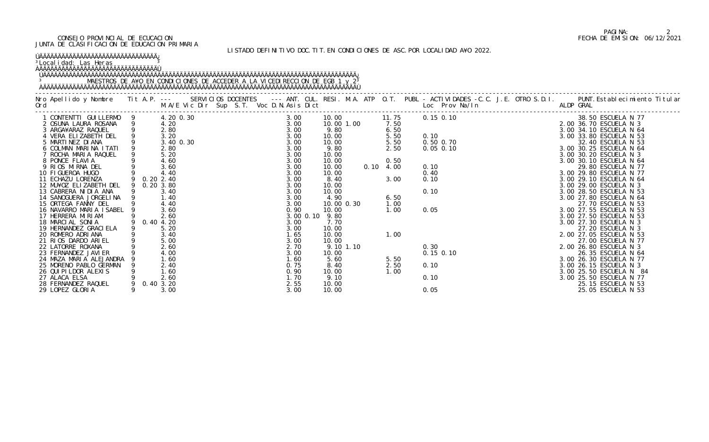#### <sup>3</sup>Localidad: Las Heras <u>3</u> ÀÄÄÄÄÄÄÄÄÄÄÄÄÄÄÄÄÄÄÄÄÄÄÄÄÄÄÄÄÄÄÄÄÙ

## LISTADO DEFINITIVO DOC.TIT.EN CONDICIONES DE ASC.POR LOCALIDAD A¥O 2022.

## ÚÄÄÄÄÄÄÄÄÄÄÄÄÄÄÄÄÄÄÄÄÄÄÄÄÄÄÄÄÄÄÄÄ¿

### ÚÄÄÄÄÄÄÄÄÄÄÄÄÄÄÄÄÄÄÄÄÄÄÄÄÄÄÄÄÄÄÄÄÄÄÄÄÄÄÄÄÄÄÄÄÄÄÄÄÄÄÄÄÄÄÄÄÄÄÄÄÄÄÄÄÄÄÄÄÄÄÄÄÄÄÄÄÄÄÄÄÄÄÄÄÄ¿ 3 MAESTROS DE A¥O EN CONDICIONES DE ACCEDER A LA VICEDIRECCION DE EGB 1 y 2<sup>3</sup> ÀÄÄÄÄÄÄÄÄÄÄÄÄÄÄÄÄÄÄÄÄÄÄÄÄÄÄÄÄÄÄÄÄÄÄÄÄÄÄÄÄÄÄÄÄÄÄÄÄÄÄÄÄÄÄÄÄÄÄÄÄÄÄÄÄÄÄÄÄÄÄÄÄÄÄÄÄÄÄÄÄÄÄÄÄÄÙ

| 1 CONTENTTI GUILLERMO 9                    |               | 4.20 0.30    | Vic Dir Sup 5.1. voc D.N.<br>0.30<br>0.30<br>0.30<br>0.00<br>0.00<br>0.00<br>0.00<br>20<br>40<br>0.00<br>.60<br>.60<br>.60<br>.60<br>2.40<br>2.40<br>2.60<br>3.20<br>3.00 |  | 3.00         |           | 10.00              |           |                   | 11.75 0.15 0.10 |  | -CONSECUTE AN ASSES AND AN ANY TO 10<br>0.15 0.10<br>0.16 0.10<br>0.17 0.20036.70 ESCUELA N 53<br>0.50 0.70<br>0.17 0.20034.10 ESCUELA N 64<br>3.003.20 ESCUELA N 53<br>3.003.20 ESCUELA N 53<br>3.003.20 ESCUELA N 54<br>3.003.20 ESCUELA N 7 |
|--------------------------------------------|---------------|--------------|---------------------------------------------------------------------------------------------------------------------------------------------------------------------------|--|--------------|-----------|--------------------|-----------|-------------------|-----------------|--|------------------------------------------------------------------------------------------------------------------------------------------------------------------------------------------------------------------------------------------------|
| 2 OSUNA LAURA ROSANA                       |               | 4.20<br>2.80 |                                                                                                                                                                           |  | 3.00<br>3.00 |           | 10.00 1.00<br>9.80 |           | 7.50<br>6.50      |                 |  |                                                                                                                                                                                                                                                |
| 3 ARGA¥ARAZ RAQUEL<br>4 VERA ELIZABETH DEL |               |              |                                                                                                                                                                           |  | 3.00         |           | 10.00              |           | 5.50              |                 |  |                                                                                                                                                                                                                                                |
| 5 MARTINEZ DI ANA                          |               | 3.40 0.30    |                                                                                                                                                                           |  | 3.00         |           | 10.00              |           | 5.50              |                 |  |                                                                                                                                                                                                                                                |
| 6 COLMAN MARINA ITATI                      |               | 2.80         |                                                                                                                                                                           |  | 3.00         |           | 9.80               |           | 2.50              |                 |  |                                                                                                                                                                                                                                                |
| 7 ROCHA MARIA RAQUEL                       |               |              |                                                                                                                                                                           |  | 3.00         |           | 10.00              |           |                   |                 |  |                                                                                                                                                                                                                                                |
| 8 PONCE FLAVIA                             |               | 4.60         |                                                                                                                                                                           |  | 3.00         |           | 10.00              |           | 0.50              |                 |  |                                                                                                                                                                                                                                                |
| 9 RIOS MIRNA DEL                           |               | 3.60         |                                                                                                                                                                           |  | 3.00         |           | 10.00              |           | $0.10 \quad 4.00$ |                 |  |                                                                                                                                                                                                                                                |
| 10 FIGUEROA HUGO                           |               | 4.40         |                                                                                                                                                                           |  | 3.00         |           | 10.00              |           |                   |                 |  |                                                                                                                                                                                                                                                |
| 11 ECHAZU LORENZA                          |               | 9 0.20 2.40  |                                                                                                                                                                           |  | 3.00         |           | 8.40               |           | 3.00              |                 |  |                                                                                                                                                                                                                                                |
| 12 MU¥OZ ELIZABETH DEL                     |               | 9 0.20 3.80  |                                                                                                                                                                           |  | 3.00         |           | 10.00              |           |                   |                 |  |                                                                                                                                                                                                                                                |
| 13 CABRERA NIDIA ANA                       |               | 3.40         |                                                                                                                                                                           |  | 3.00         |           | 10.00              |           |                   |                 |  |                                                                                                                                                                                                                                                |
| 14 SANOGUERA JORGELINA                     |               | 1.40         |                                                                                                                                                                           |  | 3.00         |           | 4.90               |           | 6.50              |                 |  |                                                                                                                                                                                                                                                |
| 15 ORTEGA FANNY DEL                        |               | 4.40         |                                                                                                                                                                           |  | 3.00         |           | 10.00 0.30         |           | 1.00              |                 |  |                                                                                                                                                                                                                                                |
| 16 NAVARRO MARIA ISABEL                    |               | 3.60<br>2.60 |                                                                                                                                                                           |  | 0.90         | 3.00 0.10 | 10.00<br>9.80      |           | 1.00              |                 |  |                                                                                                                                                                                                                                                |
| 17 HERRERA MIRIAM<br>18 MARCIAL SONIA      |               | 9 0.40 4.20  |                                                                                                                                                                           |  | 3.00         |           | 7.70               |           |                   |                 |  |                                                                                                                                                                                                                                                |
| 19 HERNANDEZ GRACI ELA                     |               | 5.20         |                                                                                                                                                                           |  | 3.00         |           | 10.00              |           |                   |                 |  |                                                                                                                                                                                                                                                |
| 20 ROMERO ADRIANA                          |               | 3.40         |                                                                                                                                                                           |  | 1.65         |           | 10.00              |           | 1.00              |                 |  |                                                                                                                                                                                                                                                |
| 21 RIOS DARDO ARIEL                        |               | 5.00         |                                                                                                                                                                           |  | 3.00         |           | 10.00              |           |                   |                 |  |                                                                                                                                                                                                                                                |
| 22 LATORRE ROXANA                          | $\frac{9}{9}$ | 2.60         |                                                                                                                                                                           |  | 2.70         |           |                    | 9.10 1.10 |                   |                 |  |                                                                                                                                                                                                                                                |
| 23 FERNANDEZ JAVI ER                       |               | 4.00         |                                                                                                                                                                           |  | 3.00         |           | 10.00              |           |                   |                 |  |                                                                                                                                                                                                                                                |
| 24 MAZA MARIA ALEJANDRA                    |               |              |                                                                                                                                                                           |  | 1.60         |           | 5.60               |           | 5.50              |                 |  |                                                                                                                                                                                                                                                |
| 25 MORENO PABLO GERMAN                     |               | 2.40         |                                                                                                                                                                           |  | 0.75         |           | 8.40               |           | 2.50              |                 |  |                                                                                                                                                                                                                                                |
| 26 QUI PI LDOR ALEXIS                      |               | 1.60         |                                                                                                                                                                           |  | 0.90         |           | 10.00              |           | 1.00              |                 |  | 3.00 25.50 ESCUELA N 84                                                                                                                                                                                                                        |
| 27 ALACA ELSA                              |               |              |                                                                                                                                                                           |  | 1.70         |           | 9.10               |           |                   |                 |  |                                                                                                                                                                                                                                                |
| 28 FERNANDEZ RAQUEL                        |               | 9 0.40 3.20  |                                                                                                                                                                           |  | 2.55         |           | 10.00              |           |                   |                 |  | 25.15 ESCUELA N 53                                                                                                                                                                                                                             |
| 29 LOPEZ GLORIA                            |               | 3.00         |                                                                                                                                                                           |  | 3.00         |           | 10.00              |           |                   | 0.05            |  | 25.05 ESCUELA N 53                                                                                                                                                                                                                             |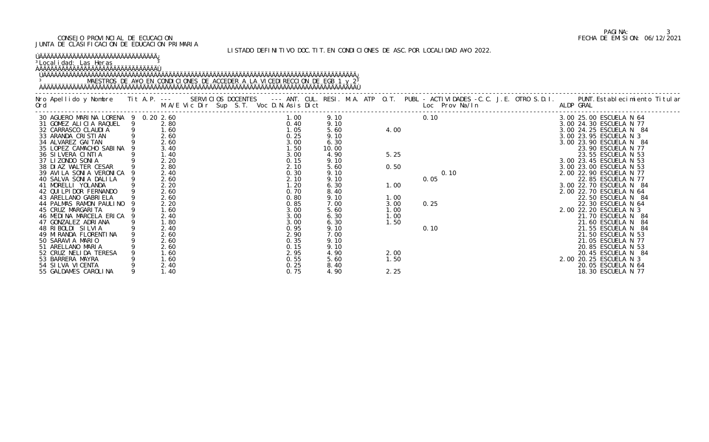## LISTADO DEFINITIVO DOC.TIT.EN CONDICIONES DE ASC.POR LOCALIDAD A¥O 2022.

## ÚÄÄÄÄÄÄÄÄÄÄÄÄÄÄÄÄÄÄÄÄÄÄÄÄÄÄÄÄÄÄÄÄ¿

<sup>3</sup>Localidad: Las Heras <u>3</u>

## ÀÄÄÄÄÄÄÄÄÄÄÄÄÄÄÄÄÄÄÄÄÄÄÄÄÄÄÄÄÄÄÄÄÙ

#### ÚÄÄÄÄÄÄÄÄÄÄÄÄÄÄÄÄÄÄÄÄÄÄÄÄÄÄÄÄÄÄÄÄÄÄÄÄÄÄÄÄÄÄÄÄÄÄÄÄÄÄÄÄÄÄÄÄÄÄÄÄÄÄÄÄÄÄÄÄÄÄÄÄÄÄÄÄÄÄÄÄÄÄÄÄÄ¿ 3 MAESTROS DE A¥O EN CONDICIONES DE ACCEDER A LA VICEDIRECCION DE EGB 1 y 2<sup>3</sup> ÀÄÄÄÄÄÄÄÄÄÄÄÄÄÄÄÄÄÄÄÄÄÄÄÄÄÄÄÄÄÄÄÄÄÄÄÄÄÄÄÄÄÄÄÄÄÄÄÄÄÄÄÄÄÄÄÄÄÄÄÄÄÄÄÄÄÄÄÄÄÄÄÄÄÄÄÄÄÄÄÄÄÄÄÄÄÙ

|                                     |                                                            |      |       |      |      | Nro Apellido y Nombre I Tit A.P. --- SERVICIOS DOCENTES --- ANT. CUL. RESI. M.A. ATP O.T. PUBL - ACTIVIDADES -C.C. J.E. OTRO S.D.I. PUNT.Establecimiento Titular<br>Ord                               M.A/E Vic Dir Sup S.T. Voc |                         |
|-------------------------------------|------------------------------------------------------------|------|-------|------|------|----------------------------------------------------------------------------------------------------------------------------------------------------------------------------------------------------------------------------------|-------------------------|
| 30 AGUERO MARINA LORENA 9 0.20 2.60 |                                                            | 1.00 | 9.10  |      | 0.10 |                                                                                                                                                                                                                                  | 3.00 25.00 ESCUELA N 64 |
| 31 GOMEZ ALICIA RAQUEL 9            | 2.80                                                       | 0.40 | 9.10  |      |      |                                                                                                                                                                                                                                  | 3.00 24.30 ESCUELA N 77 |
| 32 CARRASCO CLAUDIA                 | $\begin{array}{cccc} - & 9 & 1.60 \\ 9 & 2.60 \end{array}$ | 1.05 | 5.60  | 4.00 |      |                                                                                                                                                                                                                                  | 3.00 24.25 ESCUELA N 84 |
| 33 ARANDA CRISTIAN                  | 2.60                                                       | 0.25 | 9.10  |      |      |                                                                                                                                                                                                                                  | 3.00 23.95 ESCUELA N 3  |
| 34 ALVAREZ GAI TAN                  | 2.60                                                       | 3.00 | 6.30  |      |      |                                                                                                                                                                                                                                  | 3.00 23.90 ESCUELA N 84 |
| 35 LOPEZ CAMACHO SABINA             | 3.40                                                       | 1.50 | 10.00 |      |      |                                                                                                                                                                                                                                  | 23.90 ESCUELA N 77      |
| 36 SILVERA CINTIA                   | 1.40                                                       | 3.00 | 4.90  | 5.25 |      |                                                                                                                                                                                                                                  | 23.55 ESCUELA N 53      |
| 37 LIZONDO SONIA                    | 2.20                                                       | 0.15 | 9.10  |      |      |                                                                                                                                                                                                                                  | 3.00 23.45 ESCUELA N 53 |
| 38 DIAZ WALTER CESAR                | 2.80                                                       | 2.10 | 5.60  | 0.50 |      |                                                                                                                                                                                                                                  | 3.00 23.00 ESCUELA N 53 |
| 39 AVILA SONIA VERONICA             | 2.40                                                       | 0.30 | 9.10  |      |      |                                                                                                                                                                                                                                  | 2.00 22.90 ESCUELA N 77 |
| 40 SALVA SONIA DALILA               | 2.60                                                       | 2.10 | 9.10  |      | 0.05 |                                                                                                                                                                                                                                  | 22.85 ESCUELA N 77      |
| 41 MORELLI YOLANDA                  | 2.20                                                       | 1.20 | 6.30  | 1.00 |      |                                                                                                                                                                                                                                  | 3.00 22.70 ESCUELA N 84 |
| 42 QUI LPI DOR FERNANDO             | 2.60                                                       | 0.70 | 8.40  |      |      |                                                                                                                                                                                                                                  | 2.00 22.70 ESCUELA N 64 |
| 43 ARELLANO GABRI ELA               | 2.60                                                       | 0.80 | 9.10  | 1.00 |      |                                                                                                                                                                                                                                  | 22.50 ESCUELA N 84      |
| 44 PALMAS RAMON PAULINO             | 2.20                                                       | 0.85 | 7.00  | 3.00 | 0.25 |                                                                                                                                                                                                                                  | 22.30 ESCUELA N 64      |
| 45 CRUZ MARGARI TA                  | 1.60                                                       | 3.00 | 5.60  | 1.00 |      |                                                                                                                                                                                                                                  | 2.00 22.20 ESCUELA N 3  |
| 46 MEDINA MARCELA ERICA             | 2.40                                                       | 3.00 | 6.30  | 1.00 |      |                                                                                                                                                                                                                                  | 21.70 ESCUELA N 84      |
| 47 GONZALEZ ADRIANA                 | 1.80                                                       | 3.00 | 6.30  | 1.50 |      |                                                                                                                                                                                                                                  | 21.60 ESCUELA N 84      |
| 48 RIBOLDI SILVIA                   | 2.40                                                       | 0.95 | 9.10  |      | 0.10 |                                                                                                                                                                                                                                  | 21.55 ESCUELA N 84      |
| 49 MI RANDA FLORENTI NA             | 2.60                                                       | 2.90 | 7.00  |      |      |                                                                                                                                                                                                                                  | 21.50 ESCUELA N 53      |
| 50 SARAVI A MARIO                   | 2.60                                                       | 0.35 | 9.10  |      |      |                                                                                                                                                                                                                                  | 21.05 ESCUELA N 77      |
| 51 ARELLANO MARIA                   | 2.60                                                       | 0.15 | 9.10  |      |      |                                                                                                                                                                                                                                  | 20.85 ESCUELA N 53      |
| 52 CRUZ NELIDA TERESA               | 1.60                                                       | 2.95 | 4.90  | 2.00 |      | 2. 00 22. 5<br>22. 00 22. 5<br>22. 00 22<br>2. 00 22<br>2. 00 22<br>2. 00 3                                                                                                                                                      | 20.45 ESCUELA N 84      |
| 53 BARRERA MAYRA                    | 1.60                                                       | 0.55 | 5.60  | 1.50 |      |                                                                                                                                                                                                                                  | 2.00 20.25 ESCUELA N 3  |
| 54 SILVA VICENTA                    | 2.40                                                       | 0.25 | 8.40  |      |      |                                                                                                                                                                                                                                  | 20.05 ESCUELA N 64      |
| 55 GALDAMES CAROLINA                | 1.40                                                       | 0.75 | 4.90  | 2.25 |      |                                                                                                                                                                                                                                  | 18.30 ESCUELA N 77      |

# PAGINA: 3<br>FECHA DE EMISION: 06/12/2021